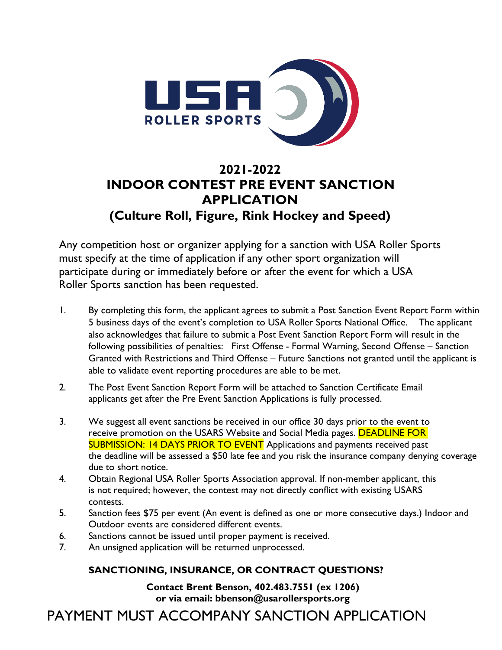

# **2021-2022 INDOOR CONTEST PRE EVENT SANCTION APPLICATION (Culture Roll, Figure, Rink Hockey and Speed)**

Any competition host or organizer applying for a sanction with USA Roller Sports must specify at the time of application if any other sport organization will participate during or immediately before or after the event for which a USA Roller Sports sanction has been requested.

- 1. By completing this form, the applicant agrees to submit a Post Sanction Event Report Form within 5 business days of the event's completion to USA Roller Sports National Office. The applicant also acknowledges that failure to submit a Post Event Sanction Report Form will result in the following possibilities of penalties: First Offense - Formal Warning, Second Offense – Sanction Granted with Restrictions and Third Offense – Future Sanctions not granted until the applicant is able to validate event reporting procedures are able to be met.
- 2. The Post Event Sanction Report Form will be attached to Sanction Certificate Email applicants get after the Pre Event Sanction Applications is fully processed.
- 3. We suggest all event sanctions be received in our office 30 days prior to the event to receive promotion on the USARS Website and Social Media pages. DEADLINE FOR SUBMISSION: 14 DAYS PRIOR TO EVENT Applications and payments received past the deadline will be assessed a \$50 late fee and you risk the insurance company denying coverage due to short notice.
- 4. Obtain Regional USA Roller Sports Association approval. If non-member applicant, this is not required; however, the contest may not directly conflict with existing USARS contests.
- 5. Sanction fees \$75 per event (An event is defined as one or more consecutive days.) Indoor and Outdoor events are considered different events.
- 6. Sanctions cannot be issued until proper payment is received.
- 7. An unsigned application will be returned unprocessed.

## **SANCTIONING, INSURANCE, OR CONTRACT QUESTIONS?**

**Contact Brent Benson, 402.483.7551 (ex 1206) or via e[mail: bbenson@usarollersports.org](mailto:bbenson@usarollersports.org)** 

PAYMENT MUST ACCOMPANY SANCTION APPLICATION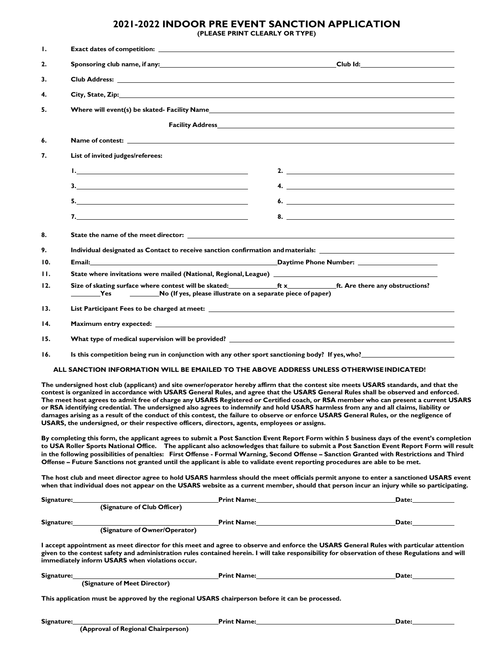# **2021-2022 INDOOR PRE EVENT SANCTION APPLICATION**

**(PLEASE PRINT CLEARLY OR TYPE)**

| Ι.                                                                                        | <b>Exact dates of competition: Exact dates of competition:</b>                                                                                                                                                                                                                                                                                                                                                                                                                                                                                                                                                                                                                                                                                                                                            |                                                                                                                                                                                                                                                                                                                                                                                                                                                                       |  |  |  |
|-------------------------------------------------------------------------------------------|-----------------------------------------------------------------------------------------------------------------------------------------------------------------------------------------------------------------------------------------------------------------------------------------------------------------------------------------------------------------------------------------------------------------------------------------------------------------------------------------------------------------------------------------------------------------------------------------------------------------------------------------------------------------------------------------------------------------------------------------------------------------------------------------------------------|-----------------------------------------------------------------------------------------------------------------------------------------------------------------------------------------------------------------------------------------------------------------------------------------------------------------------------------------------------------------------------------------------------------------------------------------------------------------------|--|--|--|
| 2.                                                                                        |                                                                                                                                                                                                                                                                                                                                                                                                                                                                                                                                                                                                                                                                                                                                                                                                           |                                                                                                                                                                                                                                                                                                                                                                                                                                                                       |  |  |  |
| 3.                                                                                        |                                                                                                                                                                                                                                                                                                                                                                                                                                                                                                                                                                                                                                                                                                                                                                                                           |                                                                                                                                                                                                                                                                                                                                                                                                                                                                       |  |  |  |
| 4.                                                                                        | City, State, Zip: 2008. The Contract of the City, State, 2008. The City of the City of the City of the City of the City of the City of the City of the City of the City of the City of the City of the City of the City of the                                                                                                                                                                                                                                                                                                                                                                                                                                                                                                                                                                            |                                                                                                                                                                                                                                                                                                                                                                                                                                                                       |  |  |  |
| 5.                                                                                        |                                                                                                                                                                                                                                                                                                                                                                                                                                                                                                                                                                                                                                                                                                                                                                                                           |                                                                                                                                                                                                                                                                                                                                                                                                                                                                       |  |  |  |
|                                                                                           |                                                                                                                                                                                                                                                                                                                                                                                                                                                                                                                                                                                                                                                                                                                                                                                                           |                                                                                                                                                                                                                                                                                                                                                                                                                                                                       |  |  |  |
| 6.                                                                                        |                                                                                                                                                                                                                                                                                                                                                                                                                                                                                                                                                                                                                                                                                                                                                                                                           |                                                                                                                                                                                                                                                                                                                                                                                                                                                                       |  |  |  |
| 7.                                                                                        | List of invited judges/referees:                                                                                                                                                                                                                                                                                                                                                                                                                                                                                                                                                                                                                                                                                                                                                                          |                                                                                                                                                                                                                                                                                                                                                                                                                                                                       |  |  |  |
|                                                                                           |                                                                                                                                                                                                                                                                                                                                                                                                                                                                                                                                                                                                                                                                                                                                                                                                           | 2. $\qquad \qquad$                                                                                                                                                                                                                                                                                                                                                                                                                                                    |  |  |  |
|                                                                                           | $\overline{\mathbf{3.}}$                                                                                                                                                                                                                                                                                                                                                                                                                                                                                                                                                                                                                                                                                                                                                                                  | $\overline{a}$                                                                                                                                                                                                                                                                                                                                                                                                                                                        |  |  |  |
|                                                                                           | $\begin{array}{c c c c c} \hline \textbf{5.} & \textbf{0.} & \textbf{0.} & \textbf{0.} & \textbf{0.} \\ \hline \end{array}$                                                                                                                                                                                                                                                                                                                                                                                                                                                                                                                                                                                                                                                                               | 6. $\overline{\phantom{a}}$                                                                                                                                                                                                                                                                                                                                                                                                                                           |  |  |  |
|                                                                                           |                                                                                                                                                                                                                                                                                                                                                                                                                                                                                                                                                                                                                                                                                                                                                                                                           |                                                                                                                                                                                                                                                                                                                                                                                                                                                                       |  |  |  |
|                                                                                           |                                                                                                                                                                                                                                                                                                                                                                                                                                                                                                                                                                                                                                                                                                                                                                                                           |                                                                                                                                                                                                                                                                                                                                                                                                                                                                       |  |  |  |
| 8.                                                                                        | State the name of the meet director: State of the state of the state of the name of the meet director:                                                                                                                                                                                                                                                                                                                                                                                                                                                                                                                                                                                                                                                                                                    |                                                                                                                                                                                                                                                                                                                                                                                                                                                                       |  |  |  |
| 9.<br>10.                                                                                 | Individual designated as Contact to receive sanction confirmation and materials:<br>Email: <u>Contract Communications and Communications and Communications and Communications and Communications and Communications and Communications and Communications and Communications and Communications and Communications </u>                                                                                                                                                                                                                                                                                                                                                                                                                                                                                  |                                                                                                                                                                                                                                                                                                                                                                                                                                                                       |  |  |  |
| 11.                                                                                       |                                                                                                                                                                                                                                                                                                                                                                                                                                                                                                                                                                                                                                                                                                                                                                                                           |                                                                                                                                                                                                                                                                                                                                                                                                                                                                       |  |  |  |
| 12.                                                                                       | Size of skating surface where contest will be skated:<br>ft. Are there any obstructions?                                                                                                                                                                                                                                                                                                                                                                                                                                                                                                                                                                                                                                                                                                                  |                                                                                                                                                                                                                                                                                                                                                                                                                                                                       |  |  |  |
|                                                                                           | No (If yes, please illustrate on a separate piece of paper)<br><b>Paragonal Yes</b>                                                                                                                                                                                                                                                                                                                                                                                                                                                                                                                                                                                                                                                                                                                       |                                                                                                                                                                                                                                                                                                                                                                                                                                                                       |  |  |  |
| 13.                                                                                       |                                                                                                                                                                                                                                                                                                                                                                                                                                                                                                                                                                                                                                                                                                                                                                                                           |                                                                                                                                                                                                                                                                                                                                                                                                                                                                       |  |  |  |
| 14.                                                                                       |                                                                                                                                                                                                                                                                                                                                                                                                                                                                                                                                                                                                                                                                                                                                                                                                           |                                                                                                                                                                                                                                                                                                                                                                                                                                                                       |  |  |  |
| 15.                                                                                       | What type of medical supervision will be provided? Notice that the control of the control of the control of the control of the control of the control of the control of the control of the control of the control of the contr                                                                                                                                                                                                                                                                                                                                                                                                                                                                                                                                                                            |                                                                                                                                                                                                                                                                                                                                                                                                                                                                       |  |  |  |
| 16.                                                                                       |                                                                                                                                                                                                                                                                                                                                                                                                                                                                                                                                                                                                                                                                                                                                                                                                           |                                                                                                                                                                                                                                                                                                                                                                                                                                                                       |  |  |  |
| ALL SANCTION INFORMATION WILL BE EMAILED TO THE ABOVE ADDRESS UNLESS OTHERWISE INDICATED! |                                                                                                                                                                                                                                                                                                                                                                                                                                                                                                                                                                                                                                                                                                                                                                                                           |                                                                                                                                                                                                                                                                                                                                                                                                                                                                       |  |  |  |
|                                                                                           | The undersigned host club (applicant) and site owner/operator hereby affirm that the contest site meets USARS standards, and that the<br>contest is organized in accordance with USARS General Rules, and agree that the USARS General Rules shall be observed and enforced.<br>The meet host agrees to admit free of charge any USARS Registered or Certified coach, or RSA member who can present a current USARS<br>or RSA identifying credential. The undersigned also agrees to indemnify and hold USARS harmless from any and all claims, liability or<br>damages arising as a result of the conduct of this contest, the failure to observe or enforce USARS General Rules, or the negligence of<br>USARS, the undersigned, or their respective officers, directors, agents, employees or assigns. |                                                                                                                                                                                                                                                                                                                                                                                                                                                                       |  |  |  |
|                                                                                           | By completing this form, the applicant agrees to submit a Post Sanction Event Report Form within 5 business days of the event's completion<br>to USA Roller Sports National Office. The applicant also acknowledges that failure to submit a Post Sanction Event Report Form will result<br>in the following possibilities of penalties: First Offense - Formal Warning, Second Offense - Sanction Granted with Restrictions and Third<br>Offense - Future Sanctions not granted until the applicant is able to validate event reporting procedures are able to be met.                                                                                                                                                                                                                                   |                                                                                                                                                                                                                                                                                                                                                                                                                                                                       |  |  |  |
|                                                                                           | The host club and meet director agree to hold USARS harmless should the meet officials permit anyone to enter a sanctioned USARS event<br>when that individual does not appear on the USARS website as a current member, should that person incur an injury while so participating.                                                                                                                                                                                                                                                                                                                                                                                                                                                                                                                       |                                                                                                                                                                                                                                                                                                                                                                                                                                                                       |  |  |  |
|                                                                                           | Signature:                                                                                                                                                                                                                                                                                                                                                                                                                                                                                                                                                                                                                                                                                                                                                                                                | Print Name: Name: Name and Security of the Manual Annual Annual Annual Annual Annual Annual Annual Annual Annu<br>Date: the contract of the contract of the contract of the contract of the contract of the contract of the contract of the contract of the contract of the contract of the contract of the contract of the contract of the cont                                                                                                                      |  |  |  |
|                                                                                           | (Signature of Club Officer)                                                                                                                                                                                                                                                                                                                                                                                                                                                                                                                                                                                                                                                                                                                                                                               |                                                                                                                                                                                                                                                                                                                                                                                                                                                                       |  |  |  |
|                                                                                           | (Signature of Owner/Operator)<br>Signature:                                                                                                                                                                                                                                                                                                                                                                                                                                                                                                                                                                                                                                                                                                                                                               | <b>Print Name:</b> The Communication of the Communication of the Communication of the Communication of the Communication of the Communication of the Communication of the Communication of the Communication of the Communication o<br>Date: the contract of the contract of the contract of the contract of the contract of the contract of the contract of the contract of the contract of the contract of the contract of the contract of the contract of the cont |  |  |  |
|                                                                                           | I accept appointment as meet director for this meet and agree to observe and enforce the USARS General Rules with particular attention<br>given to the contest safety and administration rules contained herein. I will take responsibility for observation of these Regulations and will<br>immediately inform USARS when violations occur.                                                                                                                                                                                                                                                                                                                                                                                                                                                              |                                                                                                                                                                                                                                                                                                                                                                                                                                                                       |  |  |  |

**Signature: Print Name: Date: (Signature of Meet Director) This application must be approved by the regional USARS chairperson before it can be processed.**

**Signature:** Date: Date: Date: Date: Date: Date: Date: Date: Date: Date: Date: Date: Date: Date: Date: Date: Date: Date: Date: Date: Date: Date: Date: Date: Date: Date: Date: Date: Date: Date: Date: Date: Date: Date: Date: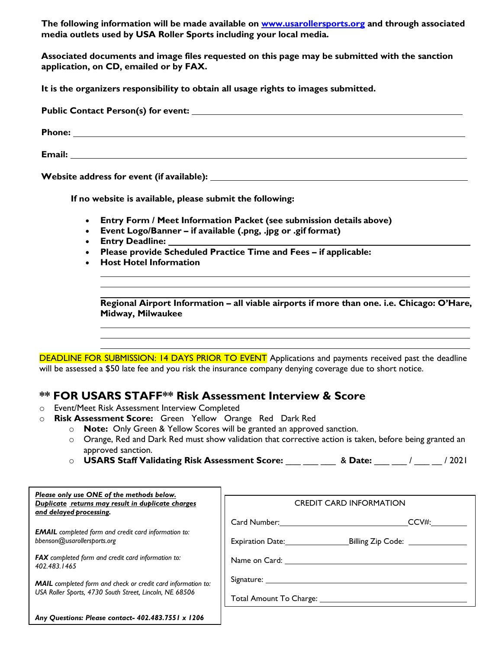**The following information will be made available on [www.usarollersports.org](http://www.usarollersports.org/) and through associated media outlets used by USA Roller Sports including your local media.**

**Associated documents and image files requested on this page may be submitted with the sanction application, on CD, emailed or by FAX.**

**It is the organizers responsibility to obtain all usage rights to images submitted.**

| Website address for event (if available): Network and the set of the set of the set of the set of the set of the set of the set of the set of the set of the set of the set of the set of the set of the set of the set of the |  |  |  |
|--------------------------------------------------------------------------------------------------------------------------------------------------------------------------------------------------------------------------------|--|--|--|

**If no website is available, please submit the following:**

- **Entry Form / Meet Information Packet (see submission details above)**
- **Event Logo/Banner if available (.png, .jpg or .gif format)**
- **Entry Deadline:**
- **Please provide Scheduled Practice Time and Fees if applicable:**
- **Host Hotel Information**

**Regional Airport Information – all viable airports if more than one. i.e. Chicago: O'Hare, Midway, Milwaukee**

DEADLINE FOR SUBMISSION: 14 DAYS PRIOR TO EVENT Applications and payments received past the deadline will be assessed a \$50 late fee and you risk the insurance company denying coverage due to short notice.

## **\*\* FOR USARS STAFF\*\* Risk Assessment Interview & Score**

- o Event/Meet Risk Assessment Interview Completed
- o **Risk Assessment Score:** Green Yellow Orange Red Dark Red
	- o **Note:** Only Green & Yellow Scores will be granted an approved sanction.
	- o Orange, Red and Dark Red must show validation that corrective action is taken, before being granted an approved sanction.
	- o **USARS Staff Validating Risk Assessment Score:** \_\_\_ \_\_\_ \_\_\_ & **Date:** \_\_\_ \_\_\_ / \_\_\_ \_\_ / 2021

| Please only use ONE of the methods below.<br>Duplicate returns may result in duplicate charges<br>and delayed processing.      | <b>CREDIT CARD INFORMATION</b> |  |
|--------------------------------------------------------------------------------------------------------------------------------|--------------------------------|--|
|                                                                                                                                | CCV#:                          |  |
| <b>EMAIL</b> completed form and credit card information to:<br>bbenson@usarollersports.org                                     | Billing Zip Code: _________    |  |
| <b>FAX</b> completed form and credit card information to:<br>402.483.1465                                                      | Name on Card:                  |  |
| <b>MAIL</b> completed form and check or credit card information to:<br>USA Roller Sports, 4730 South Street, Lincoln, NE 68506 | Signature: _________           |  |
|                                                                                                                                |                                |  |
| Any Questions: Please contact- 402.483.7551 x 1206                                                                             |                                |  |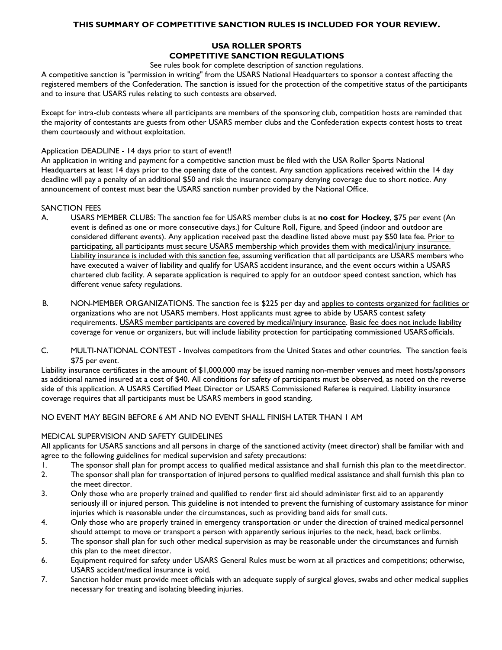#### **THIS SUMMARY OF COMPETITIVE SANCTION RULES IS INCLUDED FOR YOUR REVIEW.**

### **USA ROLLER SPORTS COMPETITIVE SANCTION REGULATIONS**

See rules book for complete description of sanction regulations.

A competitive sanction is "permission in writing" from the USARS National Headquarters to sponsor a contest affecting the registered members of the Confederation. The sanction is issued for the protection of the competitive status of the participants and to insure that USARS rules relating to such contests are observed.

Except for intra-club contests where all participants are members of the sponsoring club, competition hosts are reminded that the majority of contestants are guests from other USARS member clubs and the Confederation expects contest hosts to treat them courteously and without exploitation.

#### Application DEADLINE - 14 days prior to start of event!!

An application in writing and payment for a competitive sanction must be filed with the USA Roller Sports National Headquarters at least 14 days prior to the opening date of the contest. Any sanction applications received within the 14 day deadline will pay a penalty of an additional \$50 and risk the insurance company denying coverage due to short notice. Any announcement of contest must bear the USARS sanction number provided by the National Office.

#### SANCTION FEES

- A. USARS MEMBER CLUBS: The sanction fee for USARS member clubs is at **no cost for Hockey**, \$75 per event (An event is defined as one or more consecutive days.) for Culture Roll, Figure, and Speed (indoor and outdoor are considered different events). Any application received past the deadline listed above must pay \$50 late fee. Prior to participating, all participants must secure USARS membership which provides them with medical/injury insurance. Liability insurance is included with this sanction fee, assuming verification that all participants are USARS members who have executed a waiver of liability and qualify for USARS accident insurance, and the event occurs within a USARS chartered club facility. A separate application is required to apply for an outdoor speed contest sanction, which has different venue safety regulations.
- B. NON-MEMBER ORGANIZATIONS. The sanction fee is \$225 per day and applies to contests organized for facilities or organizations who are not USARS members. Host applicants must agree to abide by USARS contest safety requirements. USARS member participants are covered by medical/injury insurance. Basic fee does not include liability coverage for venue or organizers, but will include liability protection for participating commissioned USARSofficials.
- C. MULTI-NATIONAL CONTEST Involves competitors from the United States and other countries. The sanction feeis \$75 per event.

Liability insurance certificates in the amount of \$1,000,000 may be issued naming non-member venues and meet hosts/sponsors as additional named insured at a cost of \$40. All conditions for safety of participants must be observed, as noted on the reverse side of this application. A USARS Certified Meet Director or USARS Commissioned Referee is required. Liability insurance coverage requires that all participants must be USARS members in good standing.

#### NO EVENT MAY BEGIN BEFORE 6 AM AND NO EVENT SHALL FINISH LATER THAN 1 AM

#### MEDICAL SUPERVISION AND SAFETY GUIDELINES

All applicants for USARS sanctions and all persons in charge of the sanctioned activity (meet director) shall be familiar with and agree to the following guidelines for medical supervision and safety precautions:

- 1. The sponsor shall plan for prompt access to qualified medical assistance and shall furnish this plan to the meetdirector.
- 2. The sponsor shall plan for transportation of injured persons to qualified medical assistance and shall furnish this plan to the meet director.
- 3. Only those who are properly trained and qualified to render first aid should administer first aid to an apparently seriously ill or injured person. This guideline is not intended to prevent the furnishing of customary assistance for minor injuries which is reasonable under the circumstances, such as providing band aids for small cuts.
- 4. Only those who are properly trained in emergency transportation or under the direction of trained medicalpersonnel should attempt to move or transport a person with apparently serious injuries to the neck, head, back orlimbs.
- 5. The sponsor shall plan for such other medical supervision as may be reasonable under the circumstances and furnish this plan to the meet director.
- 6. Equipment required for safety under USARS General Rules must be worn at all practices and competitions; otherwise, USARS accident/medical insurance is void.
- 7. Sanction holder must provide meet officials with an adequate supply of surgical gloves, swabs and other medical supplies necessary for treating and isolating bleeding injuries.